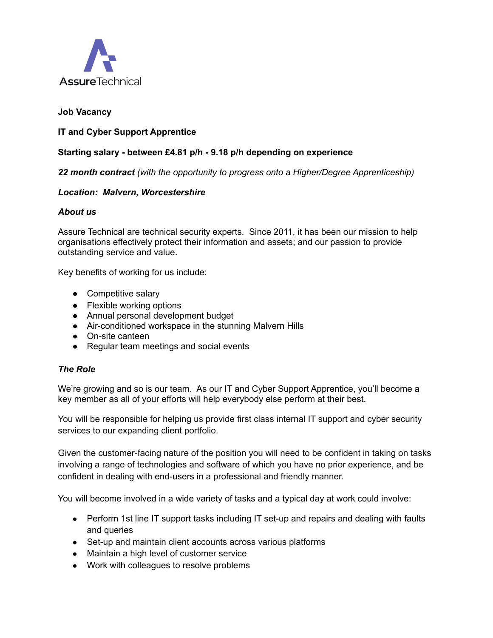

## **Job Vacancy**

### **IT and Cyber Support Apprentice**

#### **Starting salary - between £4.81 p/h - 9.18 p/h depending on experience**

*22 month contract (with the opportunity to progress onto a Higher/Degree Apprenticeship)*

#### *Location: Malvern, Worcestershire*

#### *About us*

Assure Technical are technical security experts. Since 2011, it has been our mission to help organisations effectively protect their information and assets; and our passion to provide outstanding service and value.

Key benefits of working for us include:

- Competitive salary
- Flexible working options
- Annual personal development budget
- Air-conditioned workspace in the stunning Malvern Hills
- On-site canteen
- Regular team meetings and social events

#### *The Role*

We're growing and so is our team. As our IT and Cyber Support Apprentice, you'll become a key member as all of your efforts will help everybody else perform at their best.

You will be responsible for helping us provide first class internal IT support and cyber security services to our expanding client portfolio.

Given the customer-facing nature of the position you will need to be confident in taking on tasks involving a range of technologies and software of which you have no prior experience, and be confident in dealing with end-users in a professional and friendly manner.

You will become involved in a wide variety of tasks and a typical day at work could involve:

- Perform 1st line IT support tasks including IT set-up and repairs and dealing with faults and queries
- Set-up and maintain client accounts across various platforms
- Maintain a high level of customer service
- Work with colleagues to resolve problems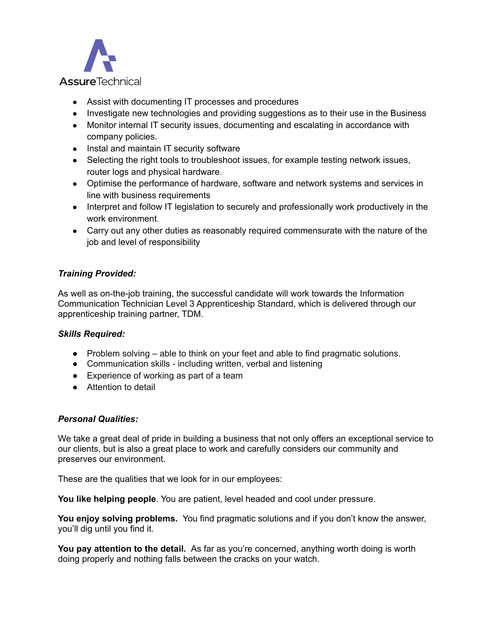

- Assist with documenting IT processes and procedures
- Investigate new technologies and providing suggestions as to their use in the Business
- Monitor internal IT security issues, documenting and escalating in accordance with company policies.
- Instal and maintain IT security software
- Selecting the right tools to troubleshoot issues, for example testing network issues, router logs and physical hardware.
- Optimise the performance of hardware, software and network systems and services in line with business requirements
- Interpret and follow IT legislation to securely and professionally work productively in the work environment.
- Carry out any other duties as reasonably required commensurate with the nature of the job and level of responsibility

# *Training Provided:*

As well as on-the-job training, the successful candidate will work towards the Information Communication Technician Level 3 Apprenticeship Standard, which is delivered through our apprenticeship training partner, TDM.

## *Skills Required:*

- Problem solving able to think on your feet and able to find pragmatic solutions.
- Communication skills including written, verbal and listening
- Experience of working as part of a team
- Attention to detail

#### *Personal Qualities:*

We take a great deal of pride in building a business that not only offers an exceptional service to our clients, but is also a great place to work and carefully considers our community and preserves our environment.

These are the qualities that we look for in our employees:

**You like helping people**. You are patient, level headed and cool under pressure.

**You enjoy solving problems.** You find pragmatic solutions and if you don't know the answer, you'll dig until you find it.

**You pay attention to the detail.** As far as you're concerned, anything worth doing is worth doing properly and nothing falls between the cracks on your watch.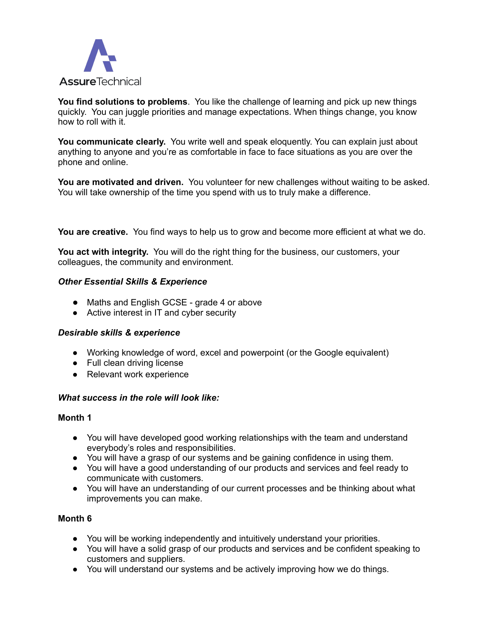

**You find solutions to problems**. You like the challenge of learning and pick up new things quickly. You can juggle priorities and manage expectations. When things change, you know how to roll with it.

**You communicate clearly.** You write well and speak eloquently. You can explain just about anything to anyone and you're as comfortable in face to face situations as you are over the phone and online.

**You are motivated and driven.** You volunteer for new challenges without waiting to be asked. You will take ownership of the time you spend with us to truly make a difference.

**You are creative.** You find ways to help us to grow and become more efficient at what we do.

**You act with integrity.** You will do the right thing for the business, our customers, your colleagues, the community and environment.

#### *Other Essential Skills & Experience*

- Maths and English GCSE grade 4 or above
- Active interest in IT and cyber security

#### *Desirable skills & experience*

- Working knowledge of word, excel and powerpoint (or the Google equivalent)
- Full clean driving license
- Relevant work experience

#### *What success in the role will look like:*

#### **Month 1**

- You will have developed good working relationships with the team and understand everybody's roles and responsibilities.
- You will have a grasp of our systems and be gaining confidence in using them.
- You will have a good understanding of our products and services and feel ready to communicate with customers.
- You will have an understanding of our current processes and be thinking about what improvements you can make.

### **Month 6**

- You will be working independently and intuitively understand your priorities.
- You will have a solid grasp of our products and services and be confident speaking to customers and suppliers.
- You will understand our systems and be actively improving how we do things.